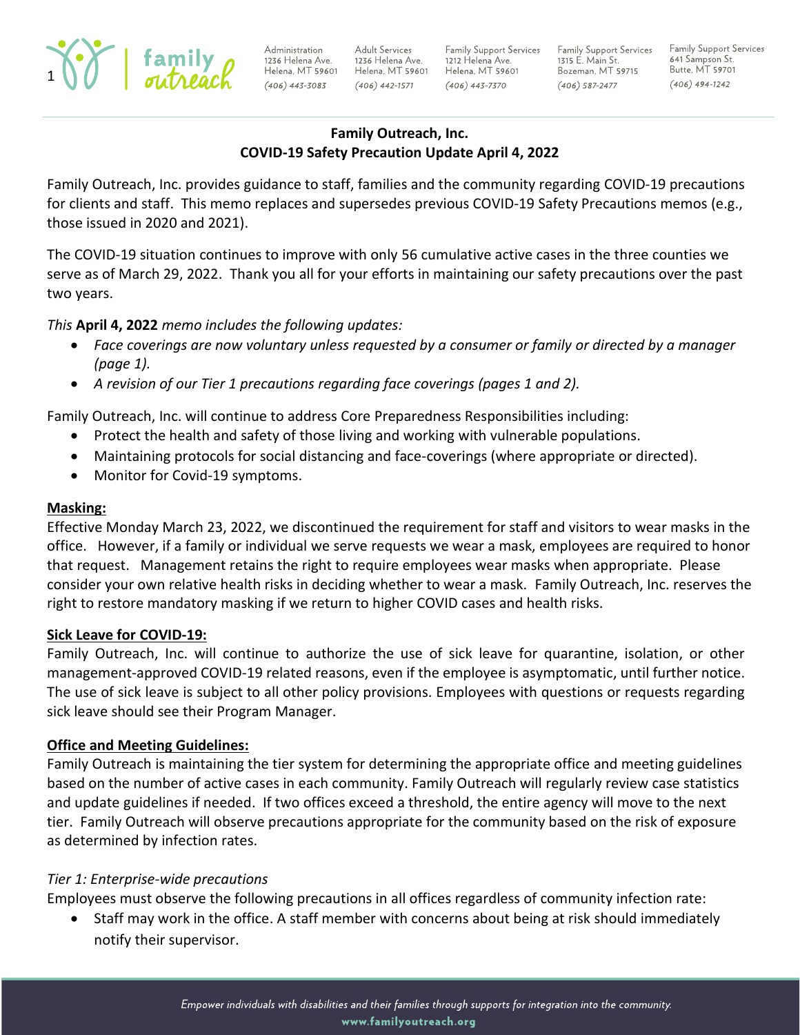

Administration 1236 Helena Ave. Helena, MT 59601 Helena, MT 59601 Helena, MT 59601  $(406)$  443-3083

**Adult Services** 1236 Helena Ave.  $(406)$  442-1571

Family Support Services 1212 Helena Ave.  $(406)$  443-7370

Family Support Services Family Support Services 1315 E. Main St. Bozeman, MT 59715  $(406)$  587-2477

641 Sampson St. Butte, MT 59701  $(406)$  494-1242

### **Family Outreach, Inc. COVID-19 Safety Precaution Update April 4, 2022**

Family Outreach, Inc. provides guidance to staff, families and the community regarding COVID-19 precautions for clients and staff. This memo replaces and supersedes previous COVID-19 Safety Precautions memos (e.g., those issued in 2020 and 2021).

The COVID-19 situation continues to improve with only 56 cumulative active cases in the three counties we serve as of March 29, 2022. Thank you all for your efforts in maintaining our safety precautions over the past two years.

# *This* **April 4, 2022** *memo includes the following updates:*

- *Face coverings are now voluntary unless requested by a consumer or family or directed by a manager (page 1).*
- *A revision of our Tier 1 precautions regarding face coverings (pages 1 and 2).*

Family Outreach, Inc. will continue to address Core Preparedness Responsibilities including:

- Protect the health and safety of those living and working with vulnerable populations.
- Maintaining protocols for social distancing and face-coverings (where appropriate or directed).
- Monitor for Covid-19 symptoms.

#### **Masking:**

Effective Monday March 23, 2022, we discontinued the requirement for staff and visitors to wear masks in the office. However, if a family or individual we serve requests we wear a mask, employees are required to honor that request. Management retains the right to require employees wear masks when appropriate. Please consider your own relative health risks in deciding whether to wear a mask. Family Outreach, Inc. reserves the right to restore mandatory masking if we return to higher COVID cases and health risks.

#### **Sick Leave for COVID-19:**

Family Outreach, Inc. will continue to authorize the use of sick leave for quarantine, isolation, or other management-approved COVID-19 related reasons, even if the employee is asymptomatic, until further notice. The use of sick leave is subject to all other policy provisions. Employees with questions or requests regarding sick leave should see their Program Manager.

#### **Office and Meeting Guidelines:**

Family Outreach is maintaining the tier system for determining the appropriate office and meeting guidelines based on the number of active cases in each community. Family Outreach will regularly review case statistics and update guidelines if needed. If two offices exceed a threshold, the entire agency will move to the next tier. Family Outreach will observe precautions appropriate for the community based on the risk of exposure as determined by infection rates.

#### *Tier 1: Enterprise-wide precautions*

Employees must observe the following precautions in all offices regardless of community infection rate:

• Staff may work in the office. A staff member with concerns about being at risk should immediately notify their supervisor.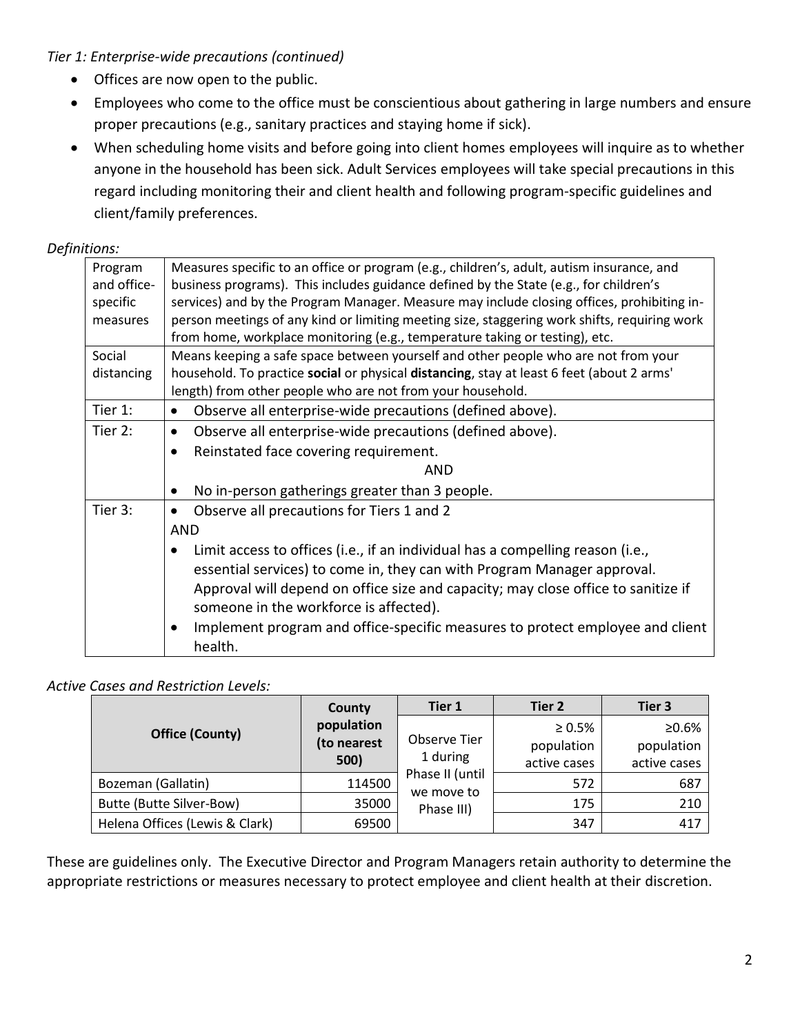*Tier 1: Enterprise-wide precautions (continued)*

- Offices are now open to the public.
- Employees who come to the office must be conscientious about gathering in large numbers and ensure proper precautions (e.g., sanitary practices and staying home if sick).
- When scheduling home visits and before going into client homes employees will inquire as to whether anyone in the household has been sick. Adult Services employees will take special precautions in this regard including monitoring their and client health and following program-specific guidelines and client/family preferences.

#### *Definitions:*

| Program     | Measures specific to an office or program (e.g., children's, adult, autism insurance, and    |  |  |  |  |
|-------------|----------------------------------------------------------------------------------------------|--|--|--|--|
| and office- | business programs). This includes guidance defined by the State (e.g., for children's        |  |  |  |  |
| specific    | services) and by the Program Manager. Measure may include closing offices, prohibiting in-   |  |  |  |  |
| measures    | person meetings of any kind or limiting meeting size, staggering work shifts, requiring work |  |  |  |  |
|             | from home, workplace monitoring (e.g., temperature taking or testing), etc.                  |  |  |  |  |
| Social      | Means keeping a safe space between yourself and other people who are not from your           |  |  |  |  |
| distancing  | household. To practice social or physical distancing, stay at least 6 feet (about 2 arms'    |  |  |  |  |
|             | length) from other people who are not from your household.                                   |  |  |  |  |
| Tier 1:     | Observe all enterprise-wide precautions (defined above).<br>$\bullet$                        |  |  |  |  |
| Tier 2:     | Observe all enterprise-wide precautions (defined above).<br>$\bullet$                        |  |  |  |  |
|             | Reinstated face covering requirement.<br>$\bullet$                                           |  |  |  |  |
|             | <b>AND</b>                                                                                   |  |  |  |  |
|             | No in-person gatherings greater than 3 people.<br>٠                                          |  |  |  |  |
| Tier 3:     | Observe all precautions for Tiers 1 and 2<br>$\bullet$                                       |  |  |  |  |
|             | <b>AND</b>                                                                                   |  |  |  |  |
|             | Limit access to offices (i.e., if an individual has a compelling reason (i.e.,<br>$\bullet$  |  |  |  |  |
|             | essential services) to come in, they can with Program Manager approval.                      |  |  |  |  |
|             | Approval will depend on office size and capacity; may close office to sanitize if            |  |  |  |  |
|             | someone in the workforce is affected).                                                       |  |  |  |  |
|             | Implement program and office-specific measures to protect employee and client<br>٠           |  |  |  |  |
|             | health.                                                                                      |  |  |  |  |
|             |                                                                                              |  |  |  |  |

#### *Active Cases and Restriction Levels:*

|                                | County<br>population<br>(to nearest<br>500) | Tier 1                        | Tier 2       | Tier 3       |
|--------------------------------|---------------------------------------------|-------------------------------|--------------|--------------|
| <b>Office (County)</b>         |                                             | Observe Tier<br>1 during      | $\geq 0.5\%$ | ≥0.6%        |
|                                |                                             |                               | population   | population   |
|                                |                                             |                               | active cases | active cases |
| Bozeman (Gallatin)             | 114500                                      | Phase II (until<br>we move to | 572          | 687          |
| Butte (Butte Silver-Bow)       | 35000                                       | Phase III)                    | 175          | 210          |
| Helena Offices (Lewis & Clark) | 69500                                       |                               | 347          | 417          |

These are guidelines only. The Executive Director and Program Managers retain authority to determine the appropriate restrictions or measures necessary to protect employee and client health at their discretion.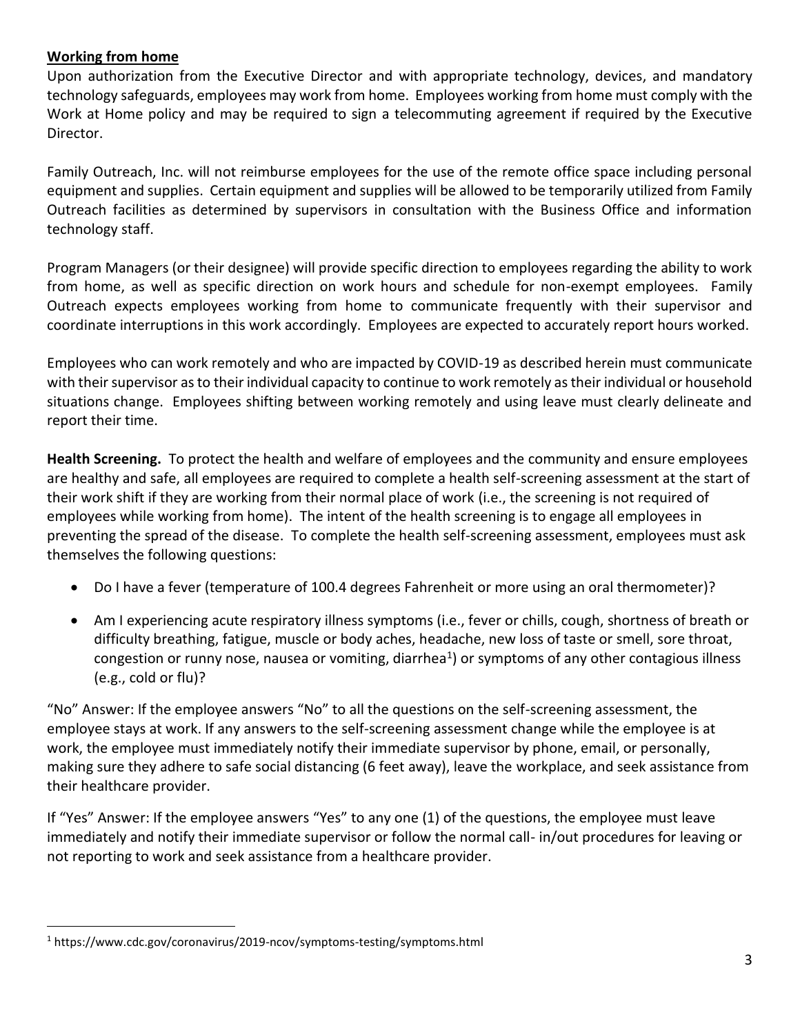### **Working from home**

Upon authorization from the Executive Director and with appropriate technology, devices, and mandatory technology safeguards, employees may work from home. Employees working from home must comply with the Work at Home policy and may be required to sign a telecommuting agreement if required by the Executive Director.

Family Outreach, Inc. will not reimburse employees for the use of the remote office space including personal equipment and supplies. Certain equipment and supplies will be allowed to be temporarily utilized from Family Outreach facilities as determined by supervisors in consultation with the Business Office and information technology staff.

Program Managers (or their designee) will provide specific direction to employees regarding the ability to work from home, as well as specific direction on work hours and schedule for non-exempt employees. Family Outreach expects employees working from home to communicate frequently with their supervisor and coordinate interruptions in this work accordingly. Employees are expected to accurately report hours worked.

Employees who can work remotely and who are impacted by COVID-19 as described herein must communicate with their supervisor as to their individual capacity to continue to work remotely as their individual or household situations change. Employees shifting between working remotely and using leave must clearly delineate and report their time.

**Health Screening.** To protect the health and welfare of employees and the community and ensure employees are healthy and safe, all employees are required to complete a health self-screening assessment at the start of their work shift if they are working from their normal place of work (i.e., the screening is not required of employees while working from home). The intent of the health screening is to engage all employees in preventing the spread of the disease. To complete the health self-screening assessment, employees must ask themselves the following questions:

- Do I have a fever (temperature of 100.4 degrees Fahrenheit or more using an oral thermometer)?
- Am I experiencing acute respiratory illness symptoms (i.e., fever or chills, cough, shortness of breath or difficulty breathing, fatigue, muscle or body aches, headache, new loss of taste or smell, sore throat, congestion or runny nose, nausea or vomiting, diarrhea<sup>1</sup>) or symptoms of any other contagious illness (e.g., cold or flu)?

"No" Answer: If the employee answers "No" to all the questions on the self-screening assessment, the employee stays at work. If any answers to the self-screening assessment change while the employee is at work, the employee must immediately notify their immediate supervisor by phone, email, or personally, making sure they adhere to safe social distancing (6 feet away), leave the workplace, and seek assistance from their healthcare provider.

If "Yes" Answer: If the employee answers "Yes" to any one (1) of the questions, the employee must leave immediately and notify their immediate supervisor or follow the normal call- in/out procedures for leaving or not reporting to work and seek assistance from a healthcare provider.

<sup>1</sup> https://www.cdc.gov/coronavirus/2019-ncov/symptoms-testing/symptoms.html